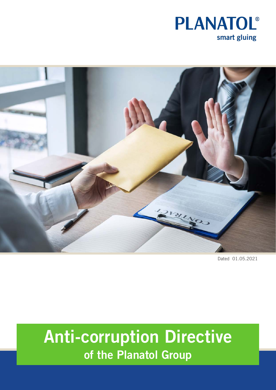



Dated 01.05.2021

# Anti-corruption Directive of the Planatol Group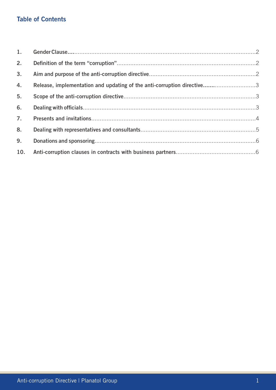# Table of Contents

| 2.             |                                                                        |  |
|----------------|------------------------------------------------------------------------|--|
| 3 <sub>1</sub> |                                                                        |  |
| 4.             | Release, implementation and updating of the anti-corruption directive3 |  |
| 5.             |                                                                        |  |
| 6.             |                                                                        |  |
| 7 <sub>1</sub> |                                                                        |  |
| 8.             |                                                                        |  |
| 9.             |                                                                        |  |
| 10.            |                                                                        |  |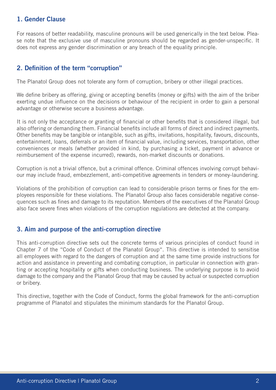#### 1. Gender Clause

For reasons of better readability, masculine pronouns will be used generically in the text below. Please note that the exclusive use of masculine pronouns should be regarded as gender-unspecific. It does not express any gender discrimination or any breach of the equality principle.

#### 2. Definition of the term "corruption"

The Planatol Group does not tolerate any form of corruption, bribery or other illegal practices.

We define bribery as offering, giving or accepting benefits (money or gifts) with the aim of the briber exerting undue influence on the decisions or behaviour of the recipient in order to gain a personal advantage or otherwise secure a business advantage.

It is not only the acceptance or granting of financial or other benefits that is considered illegal, but also offering or demanding them. Financial benefits include all forms of direct and indirect payments. Other benefits may be tangible or intangible, such as gifts, invitations, hospitality, favours, discounts, entertainment, loans, deferrals or an item of financial value, including services, transportation, other conveniences or meals (whether provided in kind, by purchasing a ticket, payment in advance or reimbursement of the expense incurred), rewards, non-market discounts or donations.

Corruption is not a trivial offence, but a criminal offence. Criminal offences involving corrupt behaviour may include fraud, embezzlement, anti-competitive agreements in tenders or money-laundering.

Violations of the prohibition of corruption can lead to considerable prison terms or fines for the employees responsible for these violations. The Planatol Group also faces considerable negative consequences such as fines and damage to its reputation. Members of the executives of the Planatol Group also face severe fines when violations of the corruption regulations are detected at the company.

#### 3. Aim and purpose of the anti-corruption directive

This anti-corruption directive sets out the concrete terms of various principles of conduct found in Chapter 7 of the "Code of Conduct of the Planatol Group". This directive is intended to sensitise all employees with regard to the dangers of corruption and at the same time provide instructions for action and assistance in preventing and combating corruption, in particular in connection with granting or accepting hospitality or gifts when conducting business. The underlying purpose is to avoid damage to the company and the Planatol Group that may be caused by actual or suspected corruption or bribery.

This directive, together with the Code of Conduct, forms the global framework for the anti-corruption programme of Planatol and stipulates the minimum standards for the Planatol Group.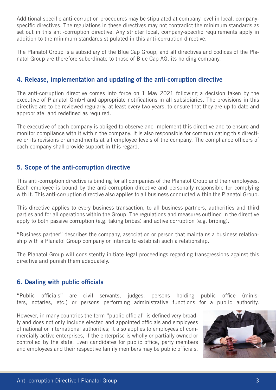Additional specific anti-corruption procedures may be stipulated at company level in local, companyspecific directives. The regulations in these directives may not contradict the minimum standards as set out in this anti-corruption directive. Any stricter local, company-specific requirements apply in addition to the minimum standards stipulated in this anti-corruption directive.

The Planatol Group is a subsidiary of the Blue Cap Group, and all directives and codices of the Planatol Group are therefore subordinate to those of Blue Cap AG, its holding company.

#### 4. Release, implementation and updating of the anti-corruption directive

The anti-corruption directive comes into force on 1 May 2021 following a decision taken by the executive of Planatol GmbH and appropriate notifications in all subsidiaries. The provisions in this directive are to be reviewed regularly, at least every two years, to ensure that they are up to date and appropriate, and redefined as required.

The executive of each company is obliged to observe and implement this directive and to ensure and monitor compliance with it within the company. It is also responsible for communicating this directive or its revisions or amendments at all employee levels of the company. The compliance officers of each company shall provide support in this regard.

## 5. Scope of the anti-corruption directive

This anti-corruption directive is binding for all companies of the Planatol Group and their employees. Each employee is bound by the anti-corruption directive and personally responsible for complying with it. This anti-corruption directive also applies to all business conducted within the Planatol Group.

This directive applies to every business transaction, to all business partners, authorities and third parties and for all operations within the Group. The regulations and measures outlined in the directive apply to both passive corruption (e.g. taking bribes) and active corruption (e.g. bribing).

"Business partner" describes the company, association or person that maintains a business relationship with a Planatol Group company or intends to establish such a relationship.

The Planatol Group will consistently initiate legal proceedings regarding transgressions against this directive and punish them adequately.

#### 6. Dealing with public officials

"Public officials" are civil servants, judges, persons holding public office (ministers, notaries, etc.) or persons performing administrative functions for a public authority.

However, in many countries the term "public official" is defined very broadly and does not only include elected and appointed officials and employees of national or international authorities; it also applies to employees of commercially active enterprises, if the enterprise is wholly or partially owned or controlled by the state. Even candidates for public office, party members and employees and their respective family members may be public officials.

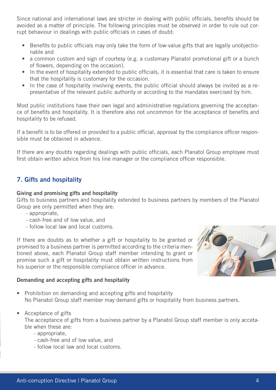Since national and international laws are stricter in dealing with public officials, benefits should be avoided as a matter of principle. The following principles must be observed in order to rule out corrupt behaviour in dealings with public officials in cases of doubt:

- Benefits to public officials may only take the form of low-value gifts that are legally unobjectionable and
- a common custom and sign of courtesy (e.g. a customary Planatol promotional gift or a bunch of flowers, depending on the occasion).
- In the event of hospitality extended to public officials, it is essential that care is taken to ensure that the hospitality is customary for the occasion.
- In the case of hospitality involving events, the public official should always be invited as a representative of the relevant public authority or according to the mandates exercised by him.

Most public institutions have their own legal and administrative regulations governing the acceptance of benefits and hospitality. It is therefore also not uncommon for the acceptance of benefits and hospitality to be refused.

If a benefit is to be offered or provided to a public official, approval by the compliance officer responsible must be obtained in advance.

If there are any doubts regarding dealings with public officials, each Planatol Group employee must first obtain written advice from his line manager or the compliance officer responsible.

## 7. Gifts and hospitality

#### Giving and promising gifts and hospitality

Gifts to business partners and hospitality extended to business partners by members of the Planatol Group are only permitted when they are:

- appropriate,
- cash-free and of low value, and
- follow local law and local customs.

If there are doubts as to whether a gift or hospitality to be granted or promised to a business partner is permitted according to the criteria mentioned above, each Planatol Group staff member intending to grant or promise such a gift or hospitality must obtain written instructions from his superior or the responsible compliance officer in advance.



#### Demanding and accepting gifts and hospitality

- Prohibition on demanding and accepting gifts and hospitality No Planatol Group staff member may demand gifts or hospitality from business partners.
- Acceptance of gifts

The acceptance of gifts from a business partner by a Planatol Group staff member is only accetable when these are:

- appropriate,
- cash-free and of low value, and
- follow local law and local customs.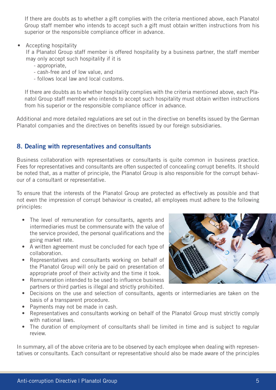If there are doubts as to whether a gift complies with the criteria mentioned above, each Planatol Group staff member who intends to accept such a gift must obtain written instructions from his superior or the responsible compliance officer in advance.

• Accepting hospitality

If a Planatol Group staff member is offered hospitality by a business partner, the staff member may only accept such hospitality if it is

- appropriate,
- cash-free and of low value, and
- follows local law and local customs.

If there are doubts as to whether hospitality complies with the criteria mentioned above, each Planatol Group staff member who intends to accept such hospitality must obtain written instructions from his superior or the responsible compliance officer in advance.

Additional and more detailed regulations are set out in the directive on benefits issued by the German Planatol companies and the directives on benefits issued by our foreign subsidiaries.

#### 8. Dealing with representatives and consultants

Business collaboration with representatives or consultants is quite common in business practice. Fees for representatives and consultants are often suspected of concealing corrupt benefits. It should be noted that, as a matter of principle, the Planatol Group is also responsible for the corrupt behaviour of a consultant or representative.

To ensure that the interests of the Planatol Group are protected as effectively as possible and that not even the impression of corrupt behaviour is created, all employees must adhere to the following principles:

- The level of remuneration for consultants, agents and intermediaries must be commensurate with the value of the service provided, the personal qualifications and the going market rate.
- A written agreement must be concluded for each type of collaboration.
- Representatives and consultants working on behalf of the Planatol Group will only be paid on presentation of appropriate proof of their activity and the time it took.
- Remuneration intended to be used to influence business partners or third parties is illegal and strictly prohibited.
- Decisions on the use and selection of consultants, agents or intermediaries are taken on the basis of a transparent procedure.
- Payments may not be made in cash.
- Representatives and consultants working on behalf of the Planatol Group must strictly comply with national laws.
- The duration of employment of consultants shall be limited in time and is subject to regular review.

In summary, all of the above criteria are to be observed by each employee when dealing with representatives or consultants. Each consultant or representative should also be made aware of the principles